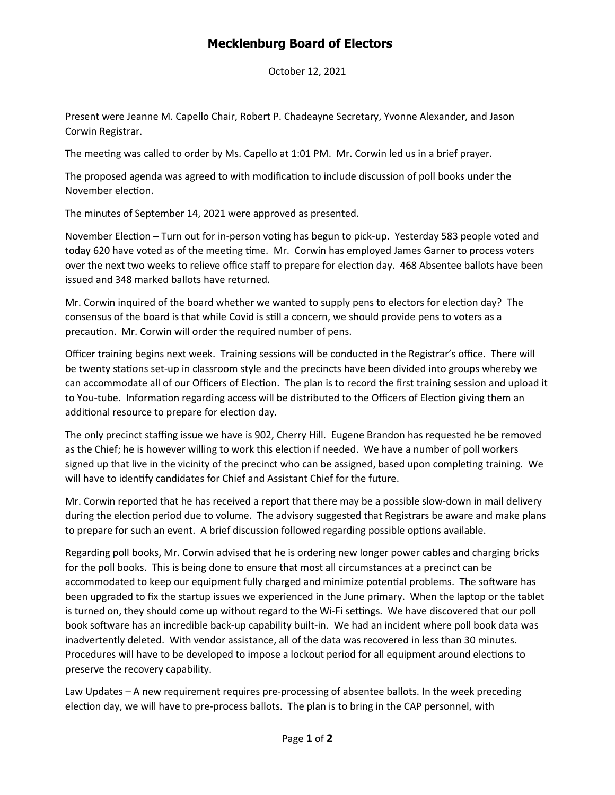## **Mecklenburg Board of Electors**

October 12, 2021

Present were Jeanne M. Capello Chair, Robert P. Chadeayne Secretary, Yvonne Alexander, and Jason Corwin Registrar.

The meeting was called to order by Ms. Capello at 1:01 PM. Mr. Corwin led us in a brief prayer.

The proposed agenda was agreed to with modification to include discussion of poll books under the November election.

The minutes of September 14, 2021 were approved as presented.

November Election – Turn out for in-person voting has begun to pick-up. Yesterday 583 people voted and today 620 have voted as of the meeting time. Mr. Corwin has employed James Garner to process voters over the next two weeks to relieve office staff to prepare for election day. 468 Absentee ballots have been issued and 348 marked ballots have returned.

Mr. Corwin inquired of the board whether we wanted to supply pens to electors for election day? The consensus of the board is that while Covid is still a concern, we should provide pens to voters as a precaution. Mr. Corwin will order the required number of pens.

Officer training begins next week. Training sessions will be conducted in the Registrar's office. There will be twenty stations set-up in classroom style and the precincts have been divided into groups whereby we can accommodate all of our Officers of Election. The plan is to record the first training session and upload it to You-tube. Information regarding access will be distributed to the Officers of Election giving them an additional resource to prepare for election day.

The only precinct staffing issue we have is 902, Cherry Hill. Eugene Brandon has requested he be removed as the Chief; he is however willing to work this election if needed. We have a number of poll workers signed up that live in the vicinity of the precinct who can be assigned, based upon completing training. We will have to identify candidates for Chief and Assistant Chief for the future.

Mr. Corwin reported that he has received a report that there may be a possible slow-down in mail delivery during the election period due to volume. The advisory suggested that Registrars be aware and make plans to prepare for such an event. A brief discussion followed regarding possible options available.

Regarding poll books, Mr. Corwin advised that he is ordering new longer power cables and charging bricks for the poll books. This is being done to ensure that most all circumstances at a precinct can be accommodated to keep our equipment fully charged and minimize potential problems. The software has been upgraded to fix the startup issues we experienced in the June primary. When the laptop or the tablet is turned on, they should come up without regard to the Wi-Fi settings. We have discovered that our poll book software has an incredible back-up capability built-in. We had an incident where poll book data was inadvertently deleted. With vendor assistance, all of the data was recovered in less than 30 minutes. Procedures will have to be developed to impose a lockout period for all equipment around elections to preserve the recovery capability.

Law Updates – A new requirement requires pre-processing of absentee ballots. In the week preceding election day, we will have to pre-process ballots. The plan is to bring in the CAP personnel, with